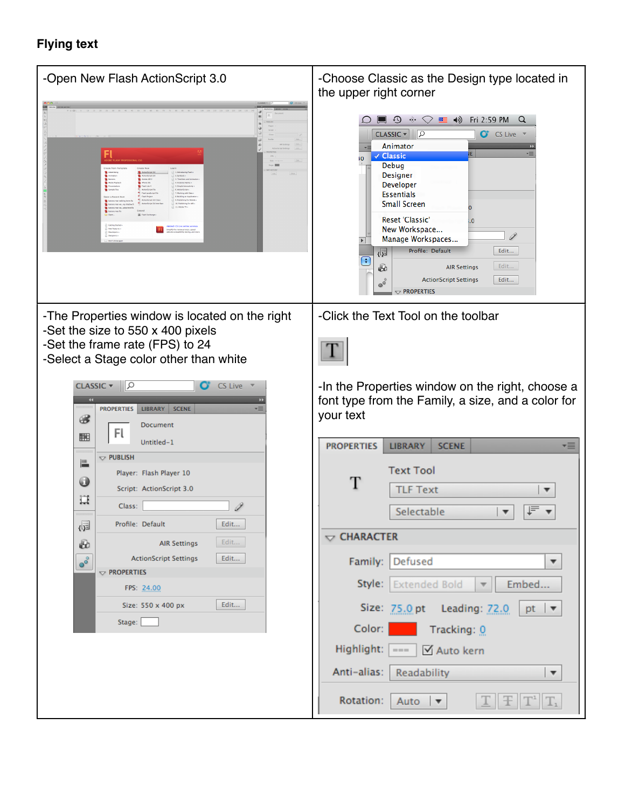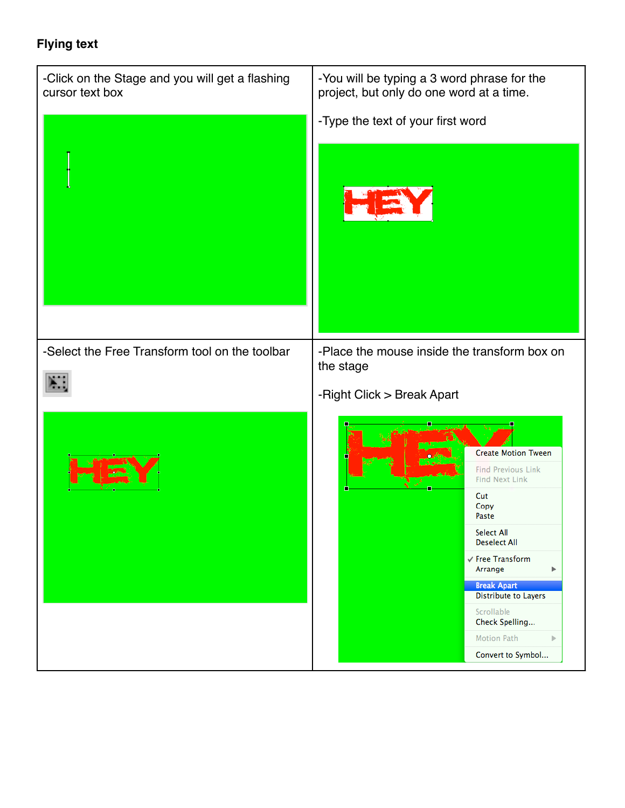| -Click on the Stage and you will get a flashing<br>cursor text box | -You will be typing a 3 word phrase for the<br>project, but only do one word at a time.                                                                                                                                                                                                                                           |
|--------------------------------------------------------------------|-----------------------------------------------------------------------------------------------------------------------------------------------------------------------------------------------------------------------------------------------------------------------------------------------------------------------------------|
|                                                                    | -Type the text of your first word                                                                                                                                                                                                                                                                                                 |
| -Select the Free Transform tool on the toolbar                     | -Place the mouse inside the transform box on<br>the stage<br>-Right Click > Break Apart                                                                                                                                                                                                                                           |
|                                                                    | <b>Create Motion Tween</b><br><b>Find Previous Link</b><br><b>Find Next Link</b><br>Cut<br>Copy<br>Paste<br>Select All<br><b>Deselect All</b><br>√ Free Transform<br>Arrange<br>Þ<br><b>Break Apart</b><br><b>Distribute to Layers</b><br>Scrollable<br>Check Spelling<br><b>Motion Path</b><br>$\mathbb{P}$<br>Convert to Symbol |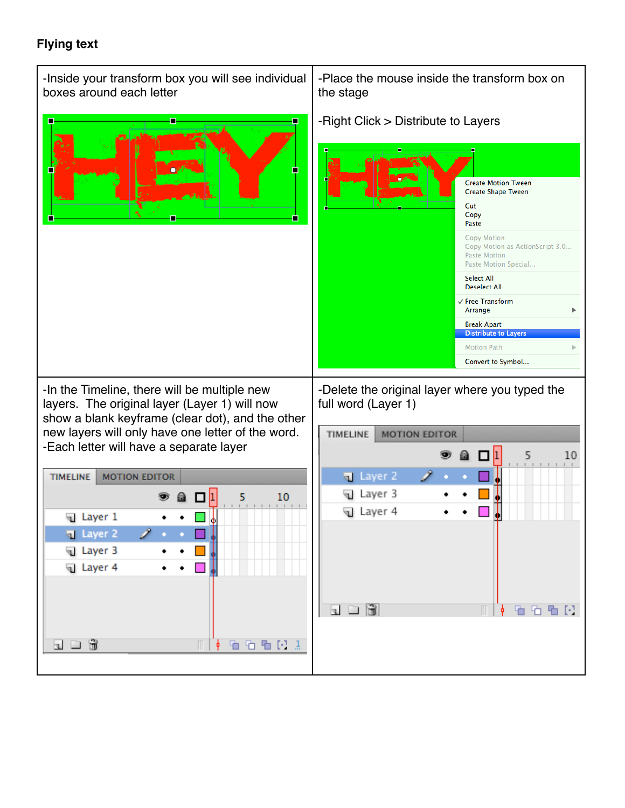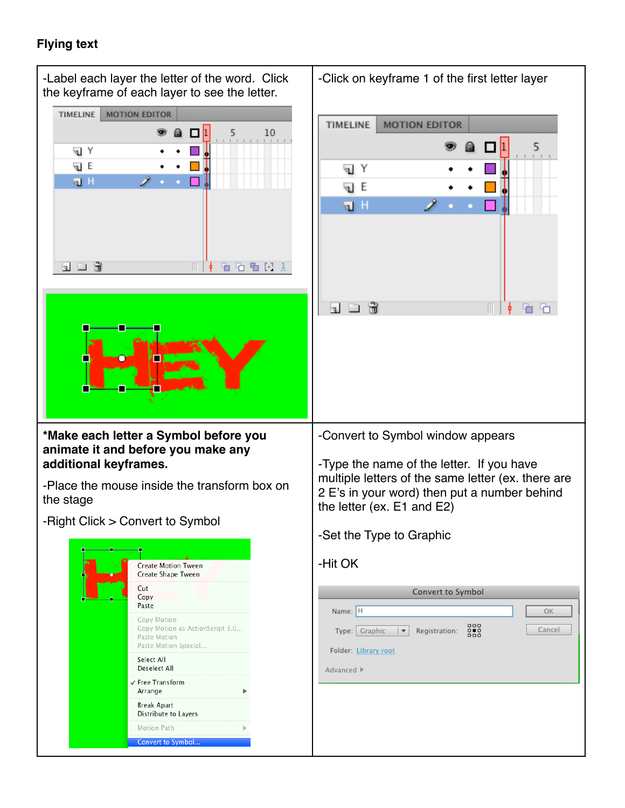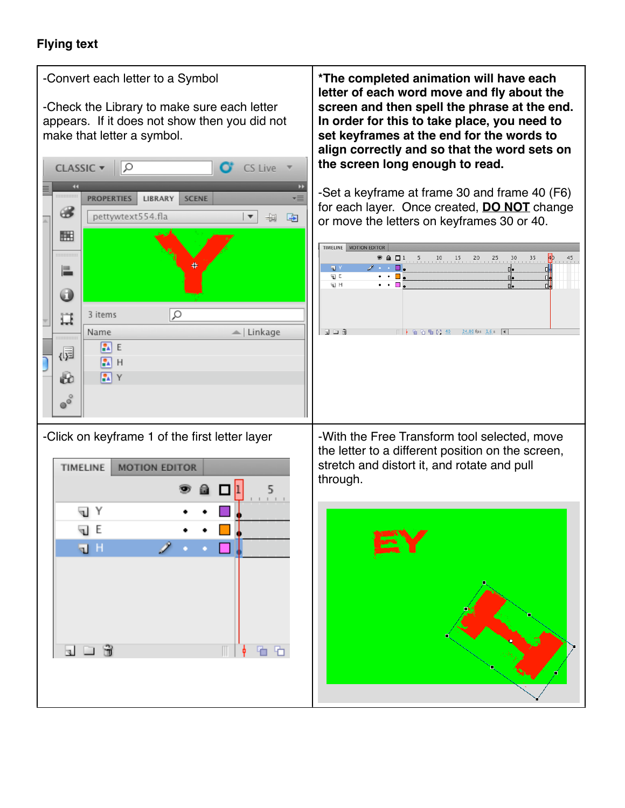